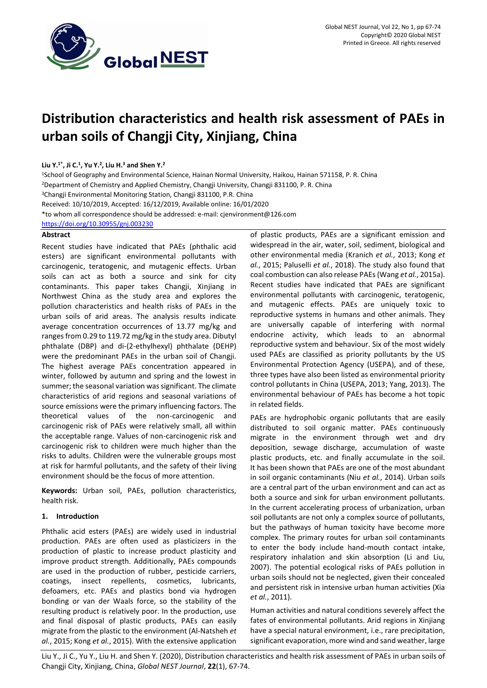

# **Distribution characteristics and health risk assessment of PAEs in urban soils of Changji City, Xinjiang, China**

# **Liu Y.1\*, Ji C.<sup>1</sup> , Yu Y.<sup>2</sup> , Liu H.<sup>3</sup> and Shen Y.<sup>2</sup>**

<sup>1</sup>School of Geography and Environmental Science, Hainan Normal University, Haikou, Hainan 571158, P. R. China <sup>2</sup>Department of Chemistry and Applied Chemistry, Changji University, Changji 831100, P. R. China <sup>3</sup>Changji Environmental Monitoring Station, Changji 831100, P.R. China Received: 10/10/2019, Accepted: 16/12/2019, Available online: 16/01/2020 \*to whom all correspondence should be addressed: e-mail: cjenvironment@126.com <https://doi.org/10.30955/gnj.003230>

# **Abstract**

Recent studies have indicated that PAEs (phthalic acid esters) are significant environmental pollutants with carcinogenic, teratogenic, and mutagenic effects. Urban soils can act as both a source and sink for city contaminants. This paper takes Changji, Xinjiang in Northwest China as the study area and explores the pollution characteristics and health risks of PAEs in the urban soils of arid areas. The analysis results indicate average concentration occurrences of 13.77 mg/kg and ranges from 0.29 to 119.72 mg/kg in the study area. Dibutyl phthalate (DBP) and di-(2-ethylhexyl) phthalate (DEHP) were the predominant PAEs in the urban soil of Changji. The highest average PAEs concentration appeared in winter, followed by autumn and spring and the lowest in summer; the seasonal variation was significant. The climate characteristics of arid regions and seasonal variations of source emissions were the primary influencing factors. The theoretical values of the non-carcinogenic and carcinogenic risk of PAEs were relatively small, all within the acceptable range. Values of non-carcinogenic risk and carcinogenic risk to children were much higher than the risks to adults. Children were the vulnerable groups most at risk for harmful pollutants, and the safety of their living environment should be the focus of more attention.

**Keywords:** Urban soil, PAEs, pollution characteristics, health risk.

# **1. Introduction**

Phthalic acid esters (PAEs) are widely used in industrial production. PAEs are often used as plasticizers in the production of plastic to increase product plasticity and improve product strength. Additionally, PAEs compounds are used in the production of rubber, pesticide carriers, coatings, insect repellents, cosmetics, lubricants, defoamers, etc. PAEs and plastics bond via hydrogen bonding or van der Waals force, so the stability of the resulting product is relatively poor. In the production, use and final disposal of plastic products, PAEs can easily migrate from the plastic to the environment (Al-Natsheh *et al.*, 2015; Kong *et al.*, 2015). With the extensive application of plastic products, PAEs are a significant emission and widespread in the air, water, soil, sediment, biological and other environmental media (Kranich *et al.*, 2013; Kong *et al.*, 2015; Paluselli *et al.*, 2018). The study also found that coal combustion can also release PAEs (Wang *et al.*, 2015a). Recent studies have indicated that PAEs are significant environmental pollutants with carcinogenic, teratogenic, and mutagenic effects. PAEs are uniquely toxic to reproductive systems in humans and other animals. They are universally capable of interfering with normal endocrine activity, which leads to an abnormal reproductive system and behaviour. Six of the most widely used PAEs are classified as priority pollutants by the US Environmental Protection Agency (USEPA), and of these, three types have also been listed as environmental priority control pollutants in China (USEPA, 2013; Yang, 2013). The environmental behaviour of PAEs has become a hot topic in related fields.

PAEs are hydrophobic organic pollutants that are easily distributed to soil organic matter. PAEs continuously migrate in the environment through wet and dry deposition, sewage discharge, accumulation of waste plastic products, etc. and finally accumulate in the soil. It has been shown that PAEs are one of the most abundant in soil organic contaminants (Niu *et al.*, 2014). Urban soils are a central part of the urban environment and can act as both a source and sink for urban environment pollutants. In the current accelerating process of urbanization, urban soil pollutants are not only a complex source of pollutants, but the pathways of human toxicity have become more complex. The primary routes for urban soil contaminants to enter the body include hand-mouth contact intake, respiratory inhalation and skin absorption (Li and Liu, 2007). The potential ecological risks of PAEs pollution in urban soils should not be neglected, given their concealed and persistent risk in intensive urban human activities (Xia *et al.*, 2011).

Human activities and natural conditions severely affect the fates of environmental pollutants. Arid regions in Xinjiang have a special natural environment, i.e., rare precipitation, significant evaporation, more wind and sand weather, large

Liu Y., Ji C., Yu Y., Liu H. and Shen Y. (2020), Distribution characteristics and health risk assessment of PAEs in urban soils of Changji City, Xinjiang, China, *Global NEST Journal*, **22**(1), 67-74.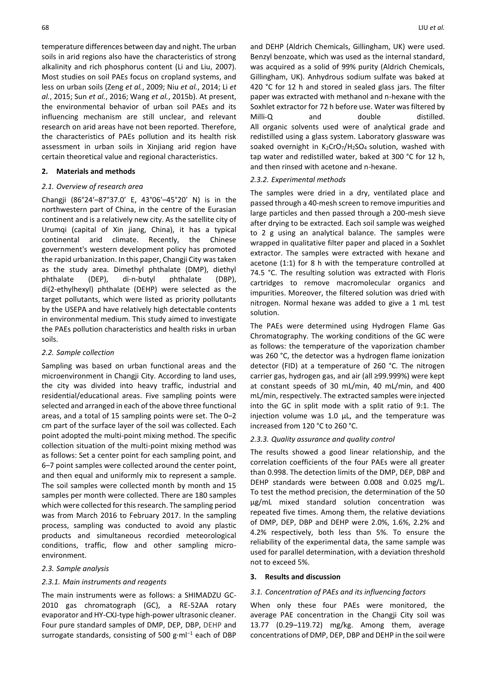temperature differences between day and night. The urban soils in arid regions also have the characteristics of strong alkalinity and rich phosphorus content (Li and Liu, 2007). Most studies on soil PAEs focus on cropland systems, and less on urban soils (Zeng *et al.*, 2009; Niu *et al.*, 2014; Li *et al.*, 2015; Sun *et al.*, 2016; Wang *et al.*, 2015b). At present, the environmental behavior of urban soil PAEs and its influencing mechanism are still unclear, and relevant research on arid areas have not been reported. Therefore, the characteristics of PAEs pollution and its health risk assessment in urban soils in Xinjiang arid region have certain theoretical value and regional characteristics.

## **2. Materials and methods**

## *2.1. Overview of research area*

Changji (86°24′–87°37.0′ E, 43°06′–45°20′ N) is in the northwestern part of China, in the centre of the Eurasian continent and is a relatively new city. As the satellite city of Urumqi (capital of Xin jiang, China), it has a typical continental arid climate. Recently, the Chinese government's western development policy has promoted the rapid urbanization. In this paper, Changji City was taken as the study area. Dimethyl phthalate (DMP), diethyl phthalate (DEP), di-n-butyl phthalate (DBP), di(2-ethylhexyl) phthalate (DEHP) were selected as the target pollutants, which were listed as priority pollutants by the USEPA and have relatively high detectable contents in environmental medium. This study aimed to investigate the PAEs pollution characteristics and health risks in urban soils.

## *2.2. Sample collection*

Sampling was based on urban functional areas and the microenvironment in Changji City. According to land uses, the city was divided into heavy traffic, industrial and residential/educational areas. Five sampling points were selected and arranged in each of the above three functional areas, and a total of 15 sampling points were set. The 0–2 cm part of the surface layer of the soil was collected. Each point adopted the multi-point mixing method. The specific collection situation of the multi-point mixing method was as follows: Set a center point for each sampling point, and 6–7 point samples were collected around the center point, and then equal and uniformly mix to represent a sample. The soil samples were collected month by month and 15 samples per month were collected. There are 180 samples which were collected for this research. The sampling period was from March 2016 to February 2017. In the sampling process, sampling was conducted to avoid any plastic products and simultaneous recordied meteorological conditions, traffic, flow and other sampling microenvironment.

#### *2.3. Sample analysis*

#### *2.3.1. Main instruments and reagents*

The main instruments were as follows: a SHIMADZU GC-2010 gas chromatograph (GC), a RE-52AA rotary evaporator and HY-CXJ-type high-power ultrasonic cleaner. Four pure standard samples of DMP, DEP, DBP, DEHP and surrogate standards, consisting of 500 g·ml<sup>-1</sup> each of DBP and DEHP (Aldrich Chemicals, Gillingham, UK) were used. Benzyl benzoate, which was used as the internal standard, was acquired as a solid of 99% purity (Aldrich Chemicals, Gillingham, UK). Anhydrous sodium sulfate was baked at 420 °C for 12 h and stored in sealed glass jars. The filter paper was extracted with methanol and n-hexane with the Soxhlet extractor for 72 h before use. Water was filtered by Milli-Q and double distilled. All organic solvents used were of analytical grade and redistilled using a glass system. Laboratory glassware was soaked overnight in  $K_2$ CrO<sub>7</sub>/H<sub>2</sub>SO<sub>4</sub> solution, washed with tap water and redistilled water, baked at 300 °C for 12 h, and then rinsed with acetone and n-hexane.

## *2.3.2. Experimental methods*

The samples were dried in a dry, ventilated place and passed through a 40-mesh screen to remove impurities and large particles and then passed through a 200-mesh sieve after drying to be extracted. Each soil sample was weighed to 2 g using an analytical balance. The samples were wrapped in qualitative filter paper and placed in a Soxhlet extractor. The samples were extracted with hexane and acetone (1:1) for 8 h with the temperature controlled at 74.5 °C. The resulting solution was extracted with Floris cartridges to remove macromolecular organics and impurities. Moreover, the filtered solution was dried with nitrogen. Normal hexane was added to give a 1 mL test solution.

The PAEs were determined using Hydrogen Flame Gas Chromatography. The working conditions of the GC were as follows: the temperature of the vaporization chamber was 260 °C, the detector was a hydrogen flame ionization detector (FID) at a temperature of 260 °C. The nitrogen carrier gas, hydrogen gas, and air (all ≥99.999%) were kept at constant speeds of 30 mL/min, 40 mL/min, and 400 mL/min, respectively. The extracted samples were injected into the GC in split mode with a split ratio of 9:1. The injection volume was 1.0 μL, and the temperature was increased from 120 °C to 260 °C.

#### *2.3.3. Quality assurance and quality control*

The results showed a good linear relationship, and the correlation coefficients of the four PAEs were all greater than 0.998. The detection limits of the DMP, DEP, DBP and DEHP standards were between 0.008 and 0.025 mg/L. To test the method precision, the determination of the 50 μg/mL mixed standard solution concentration was repeated five times. Among them, the relative deviations of DMP, DEP, DBP and DEHP were 2.0%, 1.6%, 2.2% and 4.2% respectively, both less than 5%. To ensure the reliability of the experimental data, the same sample was used for parallel determination, with a deviation threshold not to exceed 5%.

## **3. Results and discussion**

#### *3.1. Concentration of PAEs and its influencing factors*

When only these four PAEs were monitored, the average PAE concentration in the Changji City soil was 13.77 (0.29–119.72) mg/kg. Among them, average concentrations of DMP, DEP, DBP and DEHP in the soil were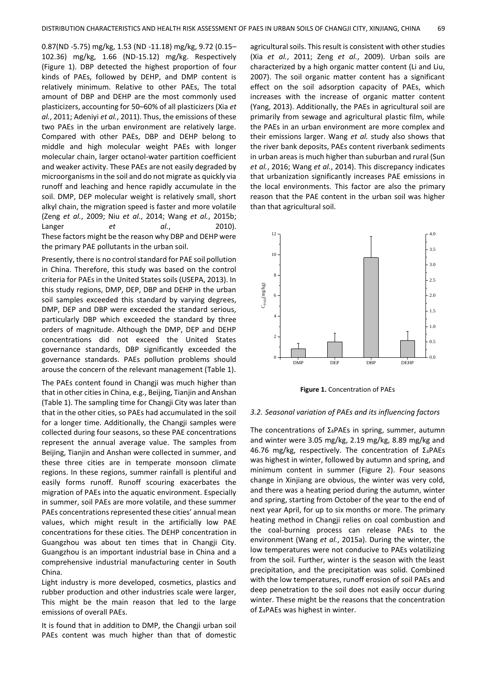0.87(ND -5.75) mg/kg, 1.53 (ND -11.18) mg/kg, 9.72 (0.15– 102.36) mg/kg, 1.66 (ND-15.12) mg/kg. Respectively (Figure 1). DBP detected the highest proportion of four kinds of PAEs, followed by DEHP, and DMP content is relatively minimum. Relative to other PAEs, The total amount of DBP and DEHP are the most commonly used plasticizers, accounting for 50–60% of all plasticizers (Xia *et al.*, 2011; Adeniyi *et al.*, 2011). Thus, the emissions of these two PAEs in the urban environment are relatively large. Compared with other PAEs, DBP and DEHP belong to middle and high molecular weight PAEs with longer molecular chain, larger octanol-water partition coefficient and weaker activity. These PAEs are not easily degraded by microorganisms in the soil and do not migrate as quickly via runoff and leaching and hence rapidly accumulate in the soil. DMP, DEP molecular weight is relatively small, short alkyl chain, the migration speed is faster and more volatile (Zeng *et al.*, 2009; Niu *et al.*, 2014; Wang *et al.*, 2015b; Langer *et al.*, 2010). These factors might be the reason why DBP and DEHP were the primary PAE pollutants in the urban soil.

Presently, there is no control standard for PAE soil pollution in China. Therefore, this study was based on the control criteria for PAEs in the United States soils (USEPA, 2013). In this study regions, DMP, DEP, DBP and DEHP in the urban soil samples exceeded this standard by varying degrees, DMP, DEP and DBP were exceeded the standard serious, particularly DBP which exceeded the standard by three orders of magnitude. Although the DMP, DEP and DEHP concentrations did not exceed the United States governance standards, DBP significantly exceeded the governance standards. PAEs pollution problems should arouse the concern of the relevant management (Table 1).

The PAEs content found in Changji was much higher than that in other cities in China, e.g., Beijing, Tianjin and Anshan (Table 1). The sampling time for Changji City was later than that in the other cities, so PAEs had accumulated in the soil for a longer time. Additionally, the Changji samples were collected during four seasons, so these PAE concentrations represent the annual average value. The samples from Beijing, Tianjin and Anshan were collected in summer, and these three cities are in temperate monsoon climate regions. In these regions, summer rainfall is plentiful and easily forms runoff. Runoff scouring exacerbates the migration of PAEs into the aquatic environment. Especially in summer, soil PAEs are more volatile, and these summer PAEs concentrations represented these cities' annual mean values, which might result in the artificially low PAE concentrations for these cities. The DEHP concentration in Guangzhou was about ten times that in Changji City. Guangzhou is an important industrial base in China and a comprehensive industrial manufacturing center in South China.

Light industry is more developed, cosmetics, plastics and rubber production and other industries scale were larger, This might be the main reason that led to the large emissions of overall PAEs.

It is found that in addition to DMP, the Changji urban soil PAEs content was much higher than that of domestic agricultural soils. This result is consistent with other studies (Xia *et al.*, 2011; Zeng *et al.*, 2009). Urban soils are characterized by a high organic matter content (Li and Liu, 2007). The soil organic matter content has a significant effect on the soil adsorption capacity of PAEs, which increases with the increase of organic matter content (Yang, 2013). Additionally, the PAEs in agricultural soil are primarily from sewage and agricultural plastic film, while the PAEs in an urban environment are more complex and their emissions larger. Wang *et al.* study also shows that the river bank deposits, PAEs content riverbank sediments in urban areas is much higher than suburban and rural (Sun *et al.*, 2016; Wang *et al.*, 2014). This discrepancy indicates that urbanization significantly increases PAE emissions in the local environments. This factor are also the primary reason that the PAE content in the urban soil was higher than that agricultural soil.



**Figure 1.** Concentration of PAEs

#### *3.2. Seasonal variation of PAEs and its influencing factors*

The concentrations of Σ4PAEs in spring, summer, autumn and winter were 3.05 mg/kg, 2.19 mg/kg, 8.89 mg/kg and 46.76 mg/kg, respectively. The concentration of Σ4PAEs was highest in winter, followed by autumn and spring, and minimum content in summer (Figure 2). Four seasons change in Xinjiang are obvious, the winter was very cold, and there was a heating period during the autumn, winter and spring, starting from October of the year to the end of next year April, for up to six months or more. The primary heating method in Changji relies on coal combustion and the coal-burning process can release PAEs to the environment (Wang *et al.*, 2015a). During the winter, the low temperatures were not conducive to PAEs volatilizing from the soil. Further, winter is the season with the least precipitation, and the precipitation was solid. Combined with the low temperatures, runoff erosion of soil PAEs and deep penetration to the soil does not easily occur during winter. These might be the reasons that the concentration of Σ4PAEs was highest in winter.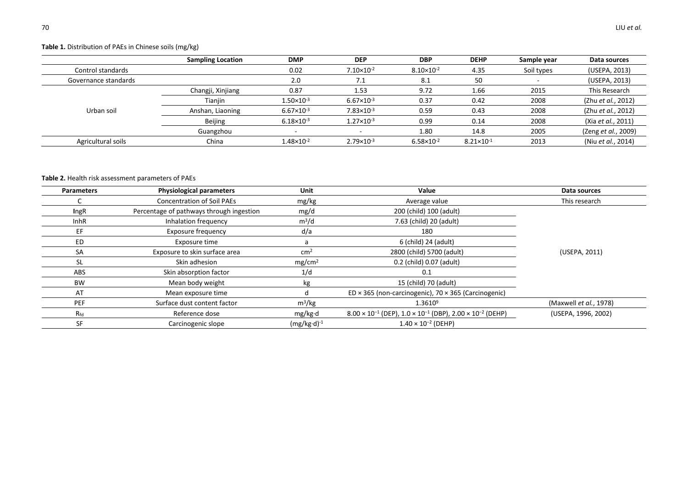# **Table 1.** Distribution of PAEs in Chinese soils (mg/kg)

|                      | <b>Sampling Location</b> | <b>DMP</b>               | <b>DEP</b>            | <b>DBP</b>            | <b>DEHP</b>           | Sample year | Data sources        |
|----------------------|--------------------------|--------------------------|-----------------------|-----------------------|-----------------------|-------------|---------------------|
| Control standards    |                          | 0.02                     | $7.10 \times 10^{-2}$ | $8.10 \times 10^{-2}$ | 4.35                  | Soil types  | (USEPA, 2013)       |
| Governance standards |                          | 2.0                      | 7.1                   | 8.1                   | 50                    |             | (USEPA, 2013)       |
|                      | Changji, Xinjiang        | 0.87                     | 1.53                  | 9.72                  | 1.66                  | 2015        | This Research       |
|                      | Tianjin                  | $1.50 \times 10^{-3}$    | $6.67 \times 10^{-3}$ | 0.37                  | 0.42                  | 2008        | (Zhu et al., 2012)  |
| Urban soil           | Anshan, Liaoning         | $6.67 \times 10^{-3}$    | $7.83 \times 10^{-3}$ | 0.59                  | 0.43                  | 2008        | (Zhu et al., 2012)  |
|                      | Beijing                  | $6.18 \times 10^{-3}$    | $1.27 \times 10^{-3}$ | 0.99                  | 0.14                  | 2008        | (Xia et al., 2011)  |
|                      | Guangzhou                | $\overline{\phantom{0}}$ |                       | 1.80                  | 14.8                  | 2005        | (Zeng et al., 2009) |
| Agricultural soils   | China                    | $1.48 \times 10^{-2}$    | $2.79 \times 10^{-3}$ | $6.58 \times 10^{-2}$ | $8.21 \times 10^{-1}$ | 2013        | (Niu et al., 2014)  |

# **Table 2.** Health risk assessment parameters of PAEs

| <b>Parameters</b> | <b>Physiological parameters</b>          | Unit               | Value                                                                                 | Data sources                   |  |
|-------------------|------------------------------------------|--------------------|---------------------------------------------------------------------------------------|--------------------------------|--|
|                   | <b>Concentration of Soil PAEs</b>        | mg/kg              | Average value                                                                         | This research                  |  |
| <b>IngR</b>       | Percentage of pathways through ingestion | mg/d               | 200 (child) 100 (adult)                                                               |                                |  |
| <b>InhR</b>       | Inhalation frequency                     | $m^3/d$            | 7.63 (child) 20 (adult)                                                               |                                |  |
| EF                | <b>Exposure frequency</b>                | d/a                | 180                                                                                   |                                |  |
| ED                | Exposure time                            |                    | 6 (child) 24 (adult)                                                                  |                                |  |
| SA                | Exposure to skin surface area            | cm <sup>2</sup>    | 2800 (child) 5700 (adult)                                                             | (USEPA, 2011)                  |  |
| <b>SL</b>         | Skin adhesion                            | mg/cm <sup>2</sup> | 0.2 (child) 0.07 (adult)                                                              |                                |  |
| ABS               | Skin absorption factor                   | 1/d                | 0.1                                                                                   |                                |  |
| <b>BW</b>         | Mean body weight                         | kg                 | 15 (child) 70 (adult)                                                                 |                                |  |
| AT                | Mean exposure time                       |                    | ED $\times$ 365 (non-carcinogenic), 70 $\times$ 365 (Carcinogenic)                    |                                |  |
| <b>PEF</b>        | Surface dust content factor              | $m^3/kg$           | $1.3610^{9}$                                                                          | (Maxwell <i>et al.</i> , 1978) |  |
| $R_{\sf fd}$      | Reference dose                           | mg/kg·d            | $8.00 \times 10^{-1}$ (DEP), $1.0 \times 10^{-1}$ (DBP), $2.00 \times 10^{-2}$ (DEHP) | (USEPA, 1996, 2002)            |  |
| SF                | Carcinogenic slope                       | $(mg/kg·d)-1$      | $1.40 \times 10^{-2}$ (DEHP)                                                          |                                |  |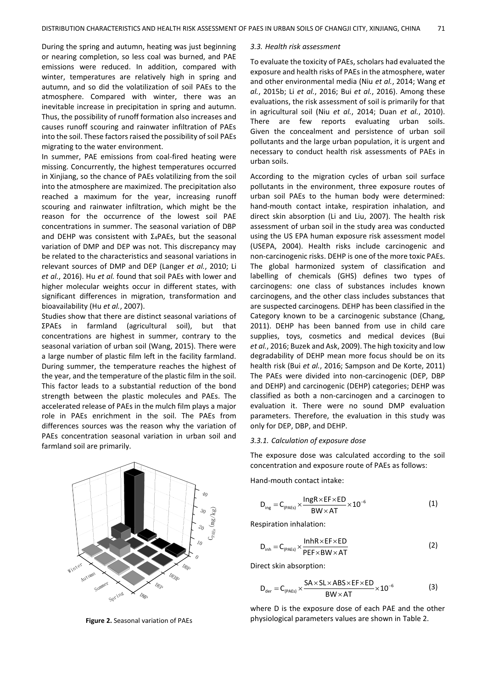During the spring and autumn, heating was just beginning or nearing completion, so less coal was burned, and PAE emissions were reduced. In addition, compared with winter, temperatures are relatively high in spring and autumn, and so did the volatilization of soil PAEs to the atmosphere. Compared with winter, there was an inevitable increase in precipitation in spring and autumn. Thus, the possibility of runoff formation also increases and causes runoff scouring and rainwater infiltration of PAEs into the soil. These factors raised the possibility of soil PAEs migrating to the water environment.

In summer, PAE emissions from coal-fired heating were missing. Concurrently, the highest temperatures occurred in Xinjiang, so the chance of PAEs volatilizing from the soil into the atmosphere are maximized. The precipitation also reached a maximum for the year, increasing runoff scouring and rainwater infiltration, which might be the reason for the occurrence of the lowest soil PAE concentrations in summer. The seasonal variation of DBP and DEHP was consistent with Σ4PAEs, but the seasonal variation of DMP and DEP was not. This discrepancy may be related to the characteristics and seasonal variations in relevant sources of DMP and DEP (Langer *et al.*, 2010; Li *et al.*, 2016). Hu *et al.* found that soil PAEs with lower and higher molecular weights occur in different states, with significant differences in migration, transformation and bioavailability (Hu *et al.*, 2007).

Studies show that there are distinct seasonal variations of ΣPAEs in farmland (agricultural soil), but that concentrations are highest in summer, contrary to the seasonal variation of urban soil (Wang, 2015). There were a large number of plastic film left in the facility farmland. During summer, the temperature reaches the highest of the year, and the temperature of the plastic film in the soil. This factor leads to a substantial reduction of the bond strength between the plastic molecules and PAEs. The accelerated release of PAEs in the mulch film plays a major role in PAEs enrichment in the soil. The PAEs from differences sources was the reason why the variation of PAEs concentration seasonal variation in urban soil and farmland soil are primarily.



**Figure 2.** Seasonal variation of PAEs

## *3.3. Health risk assessment*

To evaluate the toxicity of PAEs, scholars had evaluated the exposure and health risks of PAEs in the atmosphere, water and other environmental media (Niu *et al.*, 2014; Wang *et al.*, 2015b; Li *et al.*, 2016; Bui *et al.*, 2016). Among these evaluations, the risk assessment of soil is primarily for that in agricultural soil (Niu *et al.*, 2014; Duan *et al.*, 2010). There are few reports evaluating urban soils. Given the concealment and persistence of urban soil pollutants and the large urban population, it is urgent and necessary to conduct health risk assessments of PAEs in urban soils.

According to the migration cycles of urban soil surface pollutants in the environment, three exposure routes of urban soil PAEs to the human body were determined: hand-mouth contact intake, respiration inhalation, and direct skin absorption (Li and Liu, 2007). The health risk assessment of urban soil in the study area was conducted using the US EPA human exposure risk assessment model (USEPA, 2004). Health risks include carcinogenic and non-carcinogenic risks. DEHP is one of the more toxic PAEs. The global harmonized system of classification and labelling of chemicals (GHS) defines two types of carcinogens: one class of substances includes known carcinogens, and the other class includes substances that are suspected carcinogens*.* DEHP has been classified in the Category known to be a carcinogenic substance (Chang, 2011). DEHP has been banned from use in child care supplies, toys, cosmetics and medical devices (Bui *et al.*, 2016; Buzek and Ask, 2009). The high toxicity and low degradability of DEHP mean more focus should be on its health risk (Bui *et al.*, 2016; Sampson and De Korte, 2011) The PAEs were divided into non-carcinogenic (DEP, DBP and DEHP) and carcinogenic (DEHP) categories; DEHP was classified as both a non-carcinogen and a carcinogen to evaluation it. There were no sound DMP evaluation parameters. Therefore, the evaluation in this study was only for DEP, DBP, and DEHP.

#### *3.3.1. Calculation of exposure dose*

The exposure dose was calculated according to the soil concentration and exposure route of PAEs as follows:

Hand-mouth contact intake:

$$
D_{\text{ing}} = C_{\text{(PAEs)}} \times \frac{\text{IngR} \times \text{EF} \times \text{ED}}{\text{BW} \times \text{AT}} \times 10^{-6}
$$
 (1)

Respiration inhalation:

$$
D_{\text{inh}} = C_{(PAEs)} \times \frac{\text{InhR} \times \text{EF} \times \text{ED}}{\text{PEF} \times \text{BW} \times \text{AT}}
$$
(2)

Direct skin absorption:

$$
D_{\text{der}} = C_{(PAEs)} \times \frac{SA \times SL \times ABS \times EF \times ED}{BW \times AT} \times 10^{-6}
$$
 (3)

where D is the exposure dose of each PAE and the other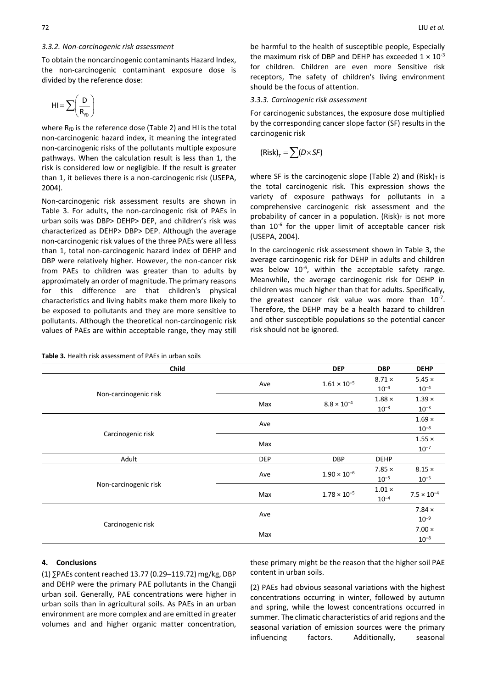#### *3.3.2. Non-carcinogenic risk assessment*

To obtain the noncarcinogenic contaminants Hazard Index, the non-carcinogenic contaminant exposure dose is divided by the reference dose:

$$
HI = \sum \left(\frac{D}{R_{fD}}\right)
$$

where  $R_{fD}$  is the reference dose (Table 2) and HI is the total non-carcinogenic hazard index, it meaning the integrated non-carcinogenic risks of the pollutants multiple exposure pathways. When the calculation result is less than 1, the risk is considered low or negligible. If the result is greater than 1, it believes there is a non-carcinogenic risk (USEPA, 2004).

Non-carcinogenic risk assessment results are shown in Table 3. For adults, the non-carcinogenic risk of PAEs in urban soils was DBP> DEHP> DEP, and children's risk was characterized as DEHP> DBP> DEP. Although the average non-carcinogenic risk values of the three PAEs were all less than 1, total non-carcinogenic hazard index of DEHP and DBP were relatively higher. However, the non-cancer risk from PAEs to children was greater than to adults by approximately an order of magnitude. The primary reasons for this difference are that children's physical characteristics and living habits make them more likely to be exposed to pollutants and they are more sensitive to pollutants. Although the theoretical non-carcinogenic risk values of PAEs are within acceptable range, they may still

**Table 3.** Health risk assessment of PAEs in urban soils

be harmful to the health of susceptible people, Especially the maximum risk of DBP and DEHP has exceeded  $1 \times 10^{-3}$ for children. Children are even more Sensitive risk receptors, The safety of children's living environment should be the focus of attention.

#### *3.3.3. Carcinogenic risk assessment*

For carcinogenic substances, the exposure dose multiplied by the corresponding cancer slope factor (SF) results in the carcinogenic risk

$$
(\mathsf{Risk})_{\tau} = \sum (D \times SF)
$$

where SF is the carcinogenic slope (Table 2) and (Risk) $<sub>T</sub>$  is</sub> the total carcinogenic risk. This expression shows the variety of exposure pathways for pollutants in a comprehensive carcinogenic risk assessment and the probability of cancer in a population. (Risk) $<sub>T</sub>$  is not more</sub> than  $10^{-6}$  for the upper limit of acceptable cancer risk (USEPA, 2004).

In the carcinogenic risk assessment shown in Table 3, the average carcinogenic risk for DEHP in adults and children was below  $10^{-6}$ , within the acceptable safety range. Meanwhile, the average carcinogenic risk for DEHP in children was much higher than that for adults. Specifically, the greatest cancer risk value was more than  $10^{-7}$ . Therefore, the DEHP may be a health hazard to children and other susceptible populations so the potential cancer risk should not be ignored.

| Child                 |            | <b>DEP</b>            | <b>DBP</b>    | <b>DEHP</b>          |
|-----------------------|------------|-----------------------|---------------|----------------------|
|                       |            | $1.61 \times 10^{-5}$ | $8.71 \times$ | $5.45 \times$        |
|                       | Ave        |                       | $10^{-4}$     | $10^{-4}$            |
| Non-carcinogenic risk | Max        | $8.8 \times 10^{-4}$  | $1.88 \times$ | $1.39 \times$        |
|                       |            |                       | $10^{-3}$     | $10^{-3}$            |
|                       | Ave        |                       |               | $1.69 \times$        |
|                       |            |                       |               | $10^{-8}$            |
| Carcinogenic risk     | Max        |                       |               | $1.55 \times$        |
|                       |            |                       |               | $10^{-7}$            |
| Adult                 | <b>DEP</b> | <b>DBP</b>            | <b>DEHP</b>   |                      |
|                       | Ave        | $1.90 \times 10^{-6}$ | $7.85 \times$ | $8.15 \times$        |
|                       |            |                       | $10^{-5}$     | $10^{-5}$            |
| Non-carcinogenic risk | Max        | $1.78 \times 10^{-5}$ | $1.01 \times$ | $7.5 \times 10^{-4}$ |
|                       |            |                       | $10^{-4}$     |                      |
|                       |            |                       |               | $7.84 \times$        |
|                       | Ave        |                       |               | $10^{-9}$            |
| Carcinogenic risk     | Max        |                       |               | $7.00 \times$        |
|                       |            |                       |               | $10^{-8}$            |

## **4. Conclusions**

(1) ∑PAEs content reached 13.77 (0.29–119.72) mg/kg, DBP and DEHP were the primary PAE pollutants in the Changji urban soil. Generally, PAE concentrations were higher in urban soils than in agricultural soils. As PAEs in an urban environment are more complex and are emitted in greater volumes and and higher organic matter concentration,

these primary might be the reason that the higher soil PAE content in urban soils.

(2) PAEs had obvious seasonal variations with the highest concentrations occurring in winter, followed by autumn and spring, while the lowest concentrations occurred in summer. The climatic characteristics of arid regions and the seasonal variation of emission sources were the primary influencing factors. Additionally, seasonal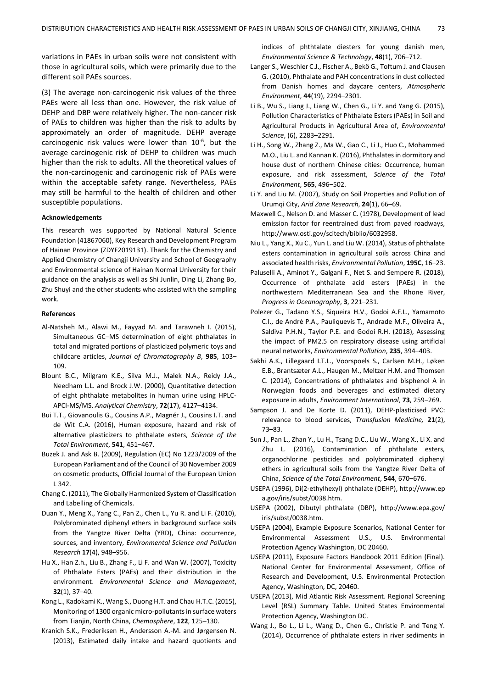variations in PAEs in urban soils were not consistent with those in agricultural soils, which were primarily due to the different soil PAEs sources.

(3) The average non-carcinogenic risk values of the three PAEs were all less than one. However, the risk value of DEHP and DBP were relatively higher. The non-cancer risk of PAEs to children was higher than the risk to adults by approximately an order of magnitude. DEHP average carcinogenic risk values were lower than  $10^{-6}$ , but the average carcinogenic risk of DEHP to children was much higher than the risk to adults. All the theoretical values of the non-carcinogenic and carcinogenic risk of PAEs were within the acceptable safety range. Nevertheless, PAEs may still be harmful to the health of children and other susceptible populations.

#### **Acknowledgements**

This research was supported by National Natural Science Foundation (41867060), Key Research and Development Program of Hainan Province (ZDYF2019131). Thank for the Chemistry and Applied Chemistry of Changji University and School of Geography and Environmental science of Hainan Normal University for their guidance on the analysis as well as Shi Junlin, Ding Li, Zhang Bo, Zhu Shuyi and the other students who assisted with the sampling work.

#### **References**

- Al-Natsheh M., Alawi M., Fayyad M. and Tarawneh I. (2015), Simultaneous GC–MS determination of eight phthalates in total and migrated portions of plasticized polymeric toys and childcare articles, *Journal of Chromatography B*, **985**, 103– 109.
- Blount B.C., Milgram K.E., Silva M.J., Malek N.A., Reidy J.A., Needham L.L. and Brock J.W. (2000), Quantitative detection of eight phthalate metabolites in human urine using HPLC-APCI-MS/MS. *Analytical Chemistry*, **72**(17), 4127–4134.
- Bui T.T., Giovanoulis G., Cousins A.P., Magnér J., Cousins I.T. and de Wit C.A. (2016), Human exposure, hazard and risk of alternative plasticizers to phthalate esters, *Science of the Total Environment*, **541**, 451–467.
- Buzek J. and Ask B. (2009), Regulation (EC) No 1223/2009 of the European Parliament and of the Council of 30 November 2009 on cosmetic products, Official Journal of the European Union L 342.
- Chang C. (2011), The Globally Harmonized System of Classification and Labelling of Chemicals.
- Duan Y., Meng X., Yang C., Pan Z., Chen L., Yu R. and Li F. (2010), Polybrominated diphenyl ethers in background surface soils from the Yangtze River Delta (YRD), China: occurrence, sources, and inventory, *Environmental Science and Pollution Research* **17**(4), 948–956.
- Hu X., Han Z.h., Liu B., Zhang F., Li F. and Wan W. (2007), Toxicity of Phthalate Esters (PAEs) and their distribution in the environment. *Environmental Science and Management*, **32**(1), 37–40.
- Kong L., Kadokami K., Wang S., Duong H.T. and Chau H.T.C. (2015), Monitoring of 1300 organic micro-pollutants in surface waters from Tianjin, North China, *Chemosphere*, **122**, 125–130.
- Kranich S.K., Frederiksen H., Andersson A.-M. and Jørgensen N. (2013), Estimated daily intake and hazard quotients and

indices of phthtalate diesters for young danish men, *Environmental Science & Technology*, **48**(1), 706–712.

- Langer S., Weschler C.J., Fischer A., Bekö G., Toftum J. and Clausen G. (2010), Phthalate and PAH concentrations in dust collected from Danish homes and daycare centers, *Atmospheric Environment*, **44**(19), 2294–2301.
- Li B., Wu S., Liang J., Liang W., Chen G., Li Y. and Yang G. (2015), Pollution Characteristics of Phthalate Esters (PAEs) in Soil and Agricultural Products in Agricultural Area of, *Environmental Science*, (6), 2283–2291.
- Li H., Song W., Zhang Z., Ma W., Gao C., Li J., Huo C., Mohammed M.O., Liu L. and Kannan K. (2016), Phthalates in dormitory and house dust of northern Chinese cities: Occurrence, human exposure, and risk assessment, *Science of the Total Environment*, **565**, 496–502.
- Li Y. and Liu M. (2007), Study on Soil Properties and Pollution of Urumqi City, *Arid Zone Research*, **24**(1), 66–69.
- Maxwell C., Nelson D. and Masser C. (1978), Development of lead emission factor for reentrained dust from paved roadways, http://www.osti.gov/scitech/biblio/6032958.
- Niu L., Yang X., Xu C., Yun L. and Liu W. (2014), Status of phthalate esters contamination in agricultural soils across China and associated health risks, *Environmental Pollution*, **195C**, 16–23.
- Paluselli A., Aminot Y., Galgani F., Net S. and Sempere R. (2018), Occurrence of phthalate acid esters (PAEs) in the northwestern Mediterranean Sea and the Rhone River, *Progress in Oceanography*, **3**, 221–231.
- Polezer G., Tadano Y.S., Siqueira H.V., Godoi A.F.L., Yamamoto C.I., de André P.A., Pauliquevis T., Andrade M.F., Oliveira A., Saldiva P.H.N., Taylor P.E. and Godoi R.H. (2018), Assessing the impact of PM2.5 on respiratory disease using artificial neural networks, *Environmental Pollution*, **235**, 394–403.
- Sakhi A.K., Lillegaard I.T.L., Voorspoels S., Carlsen M.H., Løken E.B., Brantsæter A.L., Haugen M., Meltzer H.M. and Thomsen C. (2014), Concentrations of phthalates and bisphenol A in Norwegian foods and beverages and estimated dietary exposure in adults, *Environment International*, **73**, 259–269.
- Sampson J. and De Korte D. (2011), DEHP-plasticised PVC: relevance to blood services, *Transfusion Medicine,* **21**(2), 73–83.
- Sun J., Pan L., Zhan Y., Lu H., Tsang D.C., Liu W., Wang X., Li X. and Zhu L. (2016), Contamination of phthalate esters, organochlorine pesticides and polybrominated diphenyl ethers in agricultural soils from the Yangtze River Delta of China, *Science of the Total Environment*, **544**, 670–676.
- USEPA (1996), Di(2-ethylhexyl) phthalate (DEHP), http://www.ep a.gov/iris/subst/0038.htm.
- USEPA (2002), Dibutyl phthalate (DBP), http://www.epa.gov/ iris/subst/0038.htm.
- USEPA (2004), Example Exposure Scenarios, National Center for Environmental Assessment U.S., U.S. Environmental Protection Agency Washington, DC 20460.
- USEPA (2011), Exposure Factors Handbook 2011 Edition (Final). National Center for Environmental Assessment, Office of Research and Development, U.S. Environmental Protection Agency, Washington, DC, 20460.
- USEPA (2013), Mid Atlantic Risk Assessment. Regional Screening Level (RSL) Summary Table. United States Environmental Protection Agency, Washington DC.
- Wang J., Bo L., Li L., Wang D., Chen G., Christie P. and Teng Y. (2014), Occurrence of phthalate esters in river sediments in